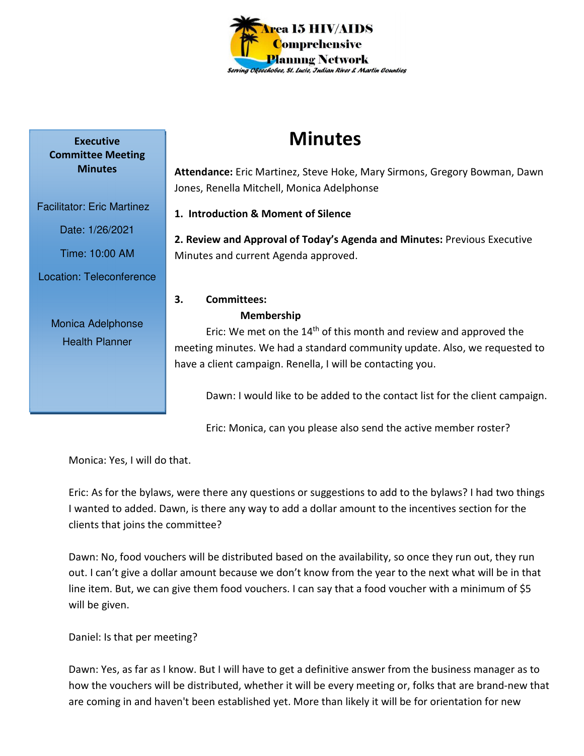

# **Minutes**

**Attendance:** Eric Martinez, Steve Hoke, Mary Sirmons, Gregory Bowman, Dawn Jones, Renella Mitchell, Monica Adelphonse

**1. Introduction & Moment of Silence** 

**2. Review and Approval of Today's Agenda and Minutes:** Previous Executive Minutes and current Agenda approved.

## **3. Committees:**

Monica Adelphonse Health Planner

#### **Membership**

Eric: We met on the  $14<sup>th</sup>$  of this month and review and approved the meeting minutes. We had a standard community update. Also, we requested to have a client campaign. Renella, I will be contacting you.

Dawn: I would like to be added to the contact list for the client campaign.

Eric: Monica, can you please also send the active member roster?

Monica: Yes, I will do that.

Eric: As for the bylaws, were there any questions or suggestions to add to the bylaws? I had two things I wanted to added. Dawn, is there any way to add a dollar amount to the incentives section for the clients that joins the committee?

Dawn: No, food vouchers will be distributed based on the availability, so once they run out, they run out. I can't give a dollar amount because we don't know from the year to the next what will be in that line item. But, we can give them food vouchers. I can say that a food voucher with a minimum of \$5 will be given.

Daniel: Is that per meeting?

Dawn: Yes, as far as I know. But I will have to get a definitive answer from the business manager as to how the vouchers will be distributed, whether it will be every meeting or, folks that are brand-new that are coming in and haven't been established yet. More than likely it will be for orientation for new

**Executive Committee Meeting Minutes** 

Facilitator: Eric Martinez

Date: 1/26/2021

Time: 10:00 AM

Location: Teleconference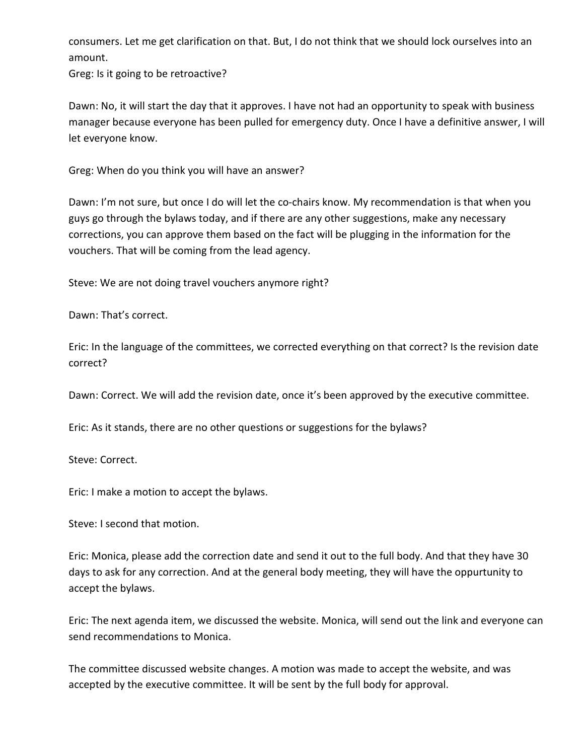consumers. Let me get clarification on that. But, I do not think that we should lock ourselves into an amount.

Greg: Is it going to be retroactive?

Dawn: No, it will start the day that it approves. I have not had an opportunity to speak with business manager because everyone has been pulled for emergency duty. Once I have a definitive answer, I will let everyone know.

Greg: When do you think you will have an answer?

Dawn: I'm not sure, but once I do will let the co-chairs know. My recommendation is that when you guys go through the bylaws today, and if there are any other suggestions, make any necessary corrections, you can approve them based on the fact will be plugging in the information for the vouchers. That will be coming from the lead agency.

Steve: We are not doing travel vouchers anymore right?

Dawn: That's correct.

Eric: In the language of the committees, we corrected everything on that correct? Is the revision date correct?

Dawn: Correct. We will add the revision date, once it's been approved by the executive committee.

Eric: As it stands, there are no other questions or suggestions for the bylaws?

Steve: Correct.

Eric: I make a motion to accept the bylaws.

Steve: I second that motion.

Eric: Monica, please add the correction date and send it out to the full body. And that they have 30 days to ask for any correction. And at the general body meeting, they will have the oppurtunity to accept the bylaws.

Eric: The next agenda item, we discussed the website. Monica, will send out the link and everyone can send recommendations to Monica.

The committee discussed website changes. A motion was made to accept the website, and was accepted by the executive committee. It will be sent by the full body for approval.